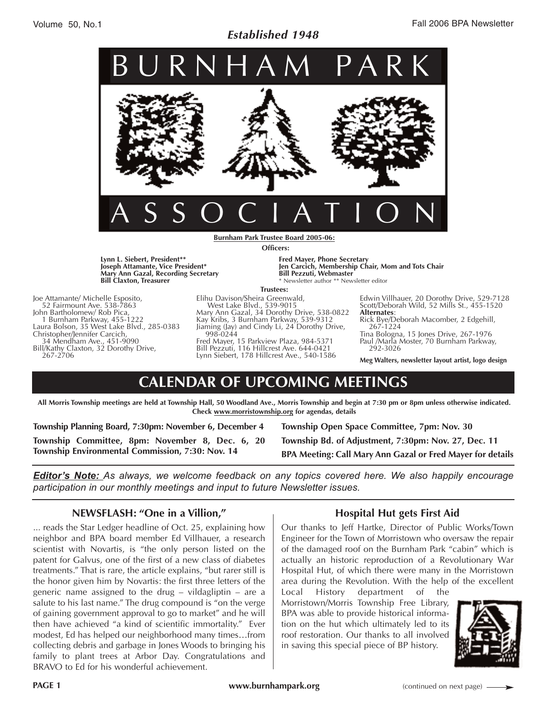### *Established 1948*



**Burnham Park Trustee Board 2005-06: Officers:**

**Lynn L. Siebert, President\*\* Joseph Attamante, Vice President\* Mary Ann Gazal, Recording Secretary Bill Claxton, Treasurer**

Joe Attamante/ Michelle Esposito, 52 Fairmount Ave. 538-7863 John Bartholomew/ Rob Pica, 1 Burnham Parkway, 455-1222 Laura Bolson, 35 West Lake Blvd., 285-0383 Christopher/Jennifer Carcich, 34 Mendham Ave., 451-9090 Bill/Kathy Claxton, 32 Dorothy Drive, 267-2706

**Fred Mayer, Phone Secretary Jen Carcich, Membership Chair, Mom and Tots Chair Bill Pezzuti, Webmaster** \* Newsletter author \*\* Newsletter editor

#### **Trustees:**

Elihu Davison/Sheira Greenwald, West Lake Blvd., 539-9015 Mary Ann Gazal, 34 Dorothy Drive, 538-0822 Kay Kribs, 3 Burnham Parkway, 539-9312 Jiaming (Jay) and Cindy Li, 24 Dorothy Drive, 998-0244 Fred Mayer, 15 Parkview Plaza, 984-5371

Bill Pezzuti, 116 Hillcrest Ave. 644-0421 Lynn Siebert, 178 Hillcrest Ave., 540-1586 Edwin Villhauer, 20 Dorothy Drive, 529-7128 Scott/Deborah Wild, 52 Mills St., 455-1520

**Alternates**: Rick Bye/Deborah Macomber, 2 Edgehill, 267-1224

Tina Bologna, 15 Jones Drive, 267-1976 Paul /Marla Moster, 70 Burnham Parkway, 292-3026

**Meg Walters, newsletter layout artist, logo design**

# **CALENDAR OF UPCOMING MEETINGS**

**All Morris Township meetings are held at Township Hall, 50 Woodland Ave., Morris Township and begin at 7:30 pm or 8pm unless otherwise indicated. Check www.morristownship.org for agendas, details**

**Township Planning Board, 7:30pm: November 6, December 4**

**Township Committee, 8pm: November 8, Dec. 6, 20 Township Environmental Commission, 7:30: Nov. 14**

**Township Open Space Committee, 7pm: Nov. 30 Township Bd. of Adjustment, 7:30pm: Nov. 27, Dec. 11**

**BPA Meeting: Call Mary Ann Gazal or Fred Mayer for details**

*Editor's Note: As always, we welcome feedback on any topics covered here. We also happily encourage participation in our monthly meetings and input to future Newsletter issues.*

### **NEWSFLASH: "One in a Villion,"**

... reads the Star Ledger headline of Oct. 25, explaining how neighbor and BPA board member Ed Villhauer, a research scientist with Novartis, is "the only person listed on the patent for Galvus, one of the first of a new class of diabetes treatments." That is rare, the article explains, "but rarer still is the honor given him by Novartis: the first three letters of the generic name assigned to the drug – vildagliptin – are a salute to his last name." The drug compound is "on the verge of gaining government approval to go to market" and he will then have achieved "a kind of scientific immortality." Ever modest, Ed has helped our neighborhood many times…from collecting debris and garbage in Jones Woods to bringing his family to plant trees at Arbor Day. Congratulations and BRAVO to Ed for his wonderful achievement.

### **Hospital Hut gets First Aid**

Our thanks to Jeff Hartke, Director of Public Works/Town Engineer for the Town of Morristown who oversaw the repair of the damaged roof on the Burnham Park "cabin" which is actually an historic reproduction of a Revolutionary War Hospital Hut, of which there were many in the Morristown area during the Revolution. With the help of the excellent

Local History department of the Morristown/Morris Township Free Library, BPA was able to provide historical information on the hut which ultimately led to its roof restoration. Our thanks to all involved in saving this special piece of BP history.

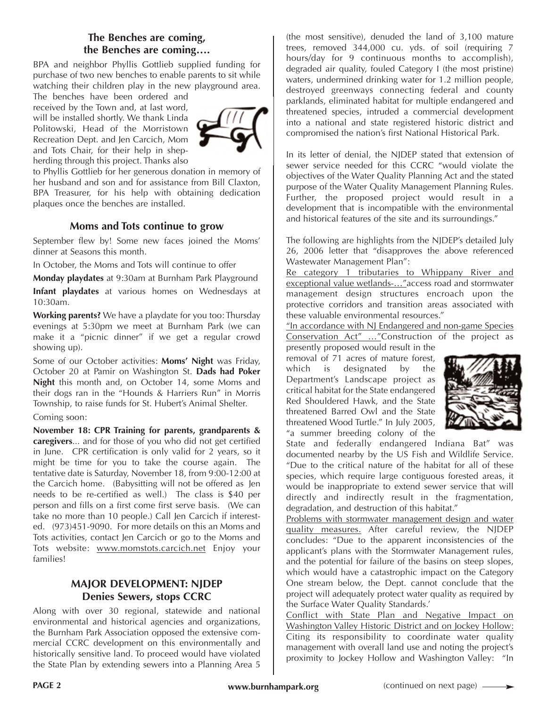### **The Benches are coming, the Benches are coming….**

BPA and neighbor Phyllis Gottlieb supplied funding for purchase of two new benches to enable parents to sit while watching their children play in the new playground area.

The benches have been ordered and received by the Town and, at last word, will be installed shortly. We thank Linda Politowski, Head of the Morristown Recreation Dept. and Jen Carcich, Mom and Tots Chair, for their help in shepherding through this project. Thanks also



to Phyllis Gottlieb for her generous donation in memory of her husband and son and for assistance from Bill Claxton, BPA Treasurer, for his help with obtaining dedication plaques once the benches are installed.

#### **Moms and Tots continue to grow**

September flew by! Some new faces joined the Moms' dinner at Seasons this month.

In October, the Moms and Tots will continue to offer

**Monday playdates** at 9:30am at Burnham Park Playground

**Infant playdates** at various homes on Wednesdays at 10:30am.

**Working parents?** We have a playdate for you too: Thursday evenings at 5:30pm we meet at Burnham Park (we can make it a "picnic dinner" if we get a regular crowd showing up).

Some of our October activities: **Moms' Night** was Friday, October 20 at Pamir on Washington St. **Dads had Poker Night** this month and, on October 14, some Moms and their dogs ran in the "Hounds & Harriers Run" in Morris Township, to raise funds for St. Hubert's Animal Shelter.

Coming soon:

**November 18: CPR Training for parents, grandparents & caregivers**... and for those of you who did not get certified in June. CPR certification is only valid for 2 years, so it might be time for you to take the course again. The tentative date is Saturday, November 18, from 9:00-12:00 at the Carcich home. (Babysitting will not be offered as Jen needs to be re-certified as well.) The class is \$40 per person and fills on a first come first serve basis. (We can take no more than 10 people.) Call Jen Carcich if interested. (973)451-9090. For more details on this an Moms and Tots activities, contact Jen Carcich or go to the Moms and Tots website: www.momstots.carcich.net Enjoy your families!

### **MAJOR DEVELOPMENT: NJDEP Denies Sewers, stops CCRC**

Along with over 30 regional, statewide and national environmental and historical agencies and organizations, the Burnham Park Association opposed the extensive commercial CCRC development on this environmentally and historically sensitive land. To proceed would have violated the State Plan by extending sewers into a Planning Area 5 (the most sensitive), denuded the land of 3,100 mature trees, removed 344,000 cu. yds. of soil (requiring 7 hours/day for 9 continuous months to accomplish), degraded air quality, fouled Category I (the most pristine) waters, undermined drinking water for 1.2 million people, destroyed greenways connecting federal and county parklands, eliminated habitat for multiple endangered and threatened species, intruded a commercial development into a national and state registered historic district and compromised the nation's first National Historical Park.

In its letter of denial, the NJDEP stated that extension of sewer service needed for this CCRC "would violate the objectives of the Water Quality Planning Act and the stated purpose of the Water Quality Management Planning Rules. Further, the proposed project would result in a development that is incompatible with the environmental and historical features of the site and its surroundings."

The following are highlights from the NJDEP's detailed July 26, 2006 letter that "disapproves the above referenced Wastewater Management Plan":

Re category 1 tributaries to Whippany River and exceptional value wetlands-…"access road and stormwater management design structures encroach upon the protective corridors and transition areas associated with these valuable environmental resources."

"In accordance with NJ Endangered and non-game Species Conservation Act" …"Construction of the project as

presently proposed would result in the removal of 71 acres of mature forest, which is designated by the Department's Landscape project as critical habitat for the State endangered Red Shouldered Hawk, and the State threatened Barred Owl and the State threatened Wood Turtle." In July 2005, "a summer breeding colony of the



State and federally endangered Indiana Bat" was documented nearby by the US Fish and Wildlife Service. "Due to the critical nature of the habitat for all of these species, which require large contiguous forested areas, it would be inappropriate to extend sewer service that will directly and indirectly result in the fragmentation, degradation, and destruction of this habitat."

Problems with stormwater management design and water quality measures. After careful review, the NJDEP concludes: "Due to the apparent inconsistencies of the applicant's plans with the Stormwater Management rules, and the potential for failure of the basins on steep slopes, which would have a catastrophic impact on the Category One stream below, the Dept. cannot conclude that the project will adequately protect water quality as required by the Surface Water Quality Standards.'

Conflict with State Plan and Negative Impact on Washington Valley Historic District and on Jockey Hollow: Citing its responsibility to coordinate water quality management with overall land use and noting the project's proximity to Jockey Hollow and Washington Valley: "In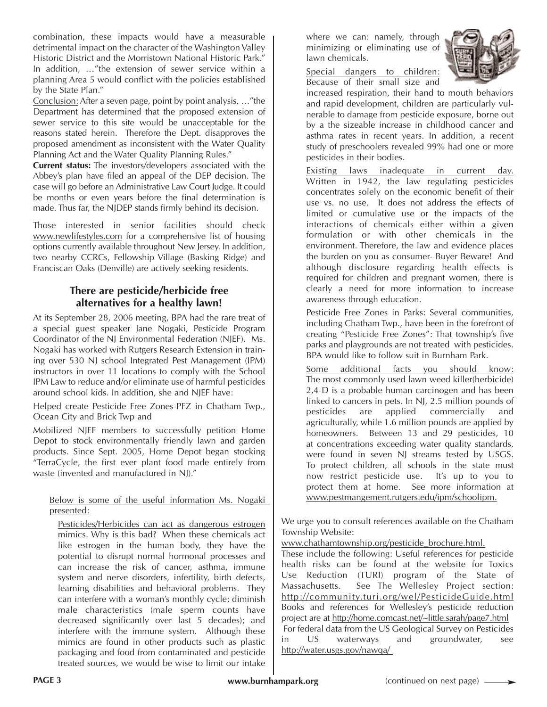combination, these impacts would have a measurable detrimental impact on the character of the Washington Valley Historic District and the Morristown National Historic Park." In addition, …"the extension of sewer service within a planning Area 5 would conflict with the policies established by the State Plan."

Conclusion: After a seven page, point by point analysis, …"the Department has determined that the proposed extension of sewer service to this site would be unacceptable for the reasons stated herein. Therefore the Dept. disapproves the proposed amendment as inconsistent with the Water Quality Planning Act and the Water Quality Planning Rules."

**Current status:** The investors/developers associated with the Abbey's plan have filed an appeal of the DEP decision. The case will go before an Administrative Law Court Judge. It could be months or even years before the final determination is made. Thus far, the NJDEP stands firmly behind its decision.

Those interested in senior facilities should check www.newlifestyles.com for a comprehensive list of housing options currently available throughout New Jersey. In addition, two nearby CCRCs, Fellowship Village (Basking Ridge) and Franciscan Oaks (Denville) are actively seeking residents.

### **There are pesticide/herbicide free alternatives for a healthy lawn!**

At its September 28, 2006 meeting, BPA had the rare treat of a special guest speaker Jane Nogaki, Pesticide Program Coordinator of the NJ Environmental Federation (NJEF). Ms. Nogaki has worked with Rutgers Research Extension in training over 530 NJ school Integrated Pest Management (IPM) instructors in over 11 locations to comply with the School IPM Law to reduce and/or eliminate use of harmful pesticides around school kids. In addition, she and NJEF have:

Helped create Pesticide Free Zones-PFZ in Chatham Twp., Ocean City and Brick Twp and

Mobilized NJEF members to successfully petition Home Depot to stock environmentally friendly lawn and garden products. Since Sept. 2005, Home Depot began stocking "TerraCycle, the first ever plant food made entirely from waste (invented and manufactured in NJ)."

#### Below is some of the useful information Ms. Nogaki presented:

Pesticides/Herbicides can act as dangerous estrogen mimics. Why is this bad? When these chemicals act like estrogen in the human body, they have the potential to disrupt normal hormonal processes and can increase the risk of cancer, asthma, immune system and nerve disorders, infertility, birth defects, learning disabilities and behavioral problems. They can interfere with a woman's monthly cycle; diminish male characteristics (male sperm counts have decreased significantly over last 5 decades); and interfere with the immune system. Although these mimics are found in other products such as plastic packaging and food from contaminated and pesticide treated sources, we would be wise to limit our intake where we can: namely, through minimizing or eliminating use of lawn chemicals.



Special dangers to children: Because of their small size and

increased respiration, their hand to mouth behaviors and rapid development, children are particularly vulnerable to damage from pesticide exposure, borne out by a the sizeable increase in childhood cancer and asthma rates in recent years. In addition, a recent study of preschoolers revealed 99% had one or more pesticides in their bodies.

Existing laws inadequate in current day. Written in 1942, the law regulating pesticides concentrates solely on the economic benefit of their use vs. no use. It does not address the effects of limited or cumulative use or the impacts of the interactions of chemicals either within a given formulation or with other chemicals in the environment. Therefore, the law and evidence places the burden on you as consumer- Buyer Beware! And although disclosure regarding health effects is required for children and pregnant women, there is clearly a need for more information to increase awareness through education.

Pesticide Free Zones in Parks: Several communities, including Chatham Twp., have been in the forefront of creating "Pesticide Free Zones": That township's five parks and playgrounds are not treated with pesticides. BPA would like to follow suit in Burnham Park.

Some additional facts you should know: The most commonly used lawn weed killer(herbicide) 2,4-D is a probable human carcinogen and has been linked to cancers in pets. In NJ, 2.5 million pounds of pesticides are applied commercially and agriculturally, while 1.6 million pounds are applied by homeowners. Between 13 and 29 pesticides, 10 at concentrations exceeding water quality standards, were found in seven NJ streams tested by USGS. To protect children, all schools in the state must now restrict pesticide use. It's up to you to protect them at home. See more information at www.pestmangement.rutgers.edu/ipm/schoolipm.

We urge you to consult references available on the Chatham Township Website:

www.chathamtownship.org/pesticide\_brochure.html.

These include the following: Useful references for pesticide health risks can be found at the website for Toxics Use Reduction (TURI) program of the State of Massachusetts. See The Wellesley Project section: http://community.turi.org/wel/PesticideGuide.html Books and references for Wellesley's pesticide reduction project are at http://home.comcast.net/~little.sarah/page7.html For federal data from the US Geological Survey on Pesticides in US waterways and groundwater, see http://water.usgs.gov/nawqa/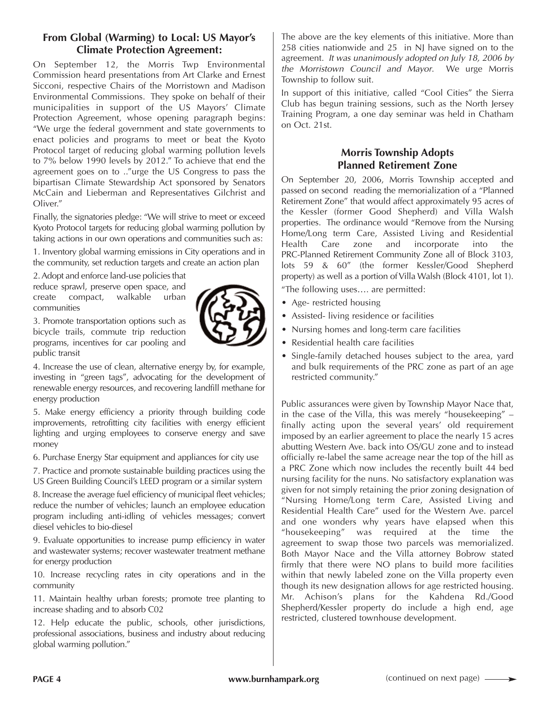### **From Global (Warming) to Local: US Mayor's Climate Protection Agreement:**

On September 12, the Morris Twp Environmental Commission heard presentations from Art Clarke and Ernest Sicconi, respective Chairs of the Morristown and Madison Environmental Commissions. They spoke on behalf of their municipalities in support of the US Mayors' Climate Protection Agreement, whose opening paragraph begins: "We urge the federal government and state governments to enact policies and programs to meet or beat the Kyoto Protocol target of reducing global warming pollution levels to 7% below 1990 levels by 2012." To achieve that end the agreement goes on to .."urge the US Congress to pass the bipartisan Climate Stewardship Act sponsored by Senators McCain and Lieberman and Representatives Gilchrist and Oliver."

Finally, the signatories pledge: "We will strive to meet or exceed Kyoto Protocol targets for reducing global warming pollution by taking actions in our own operations and communities such as:

1. Inventory global warming emissions in City operations and in the community, set reduction targets and create an action plan

2. Adopt and enforce land-use policies that reduce sprawl, preserve open space, and create compact, walkable urban communities

3. Promote transportation options such as bicycle trails, commute trip reduction programs, incentives for car pooling and public transit

4. Increase the use of clean, alternative energy by, for example, investing in "green tags", advocating for the development of renewable energy resources, and recovering landfill methane for energy production

5. Make energy efficiency a priority through building code improvements, retrofitting city facilities with energy efficient lighting and urging employees to conserve energy and save money

6. Purchase Energy Star equipment and appliances for city use

7. Practice and promote sustainable building practices using the US Green Building Council's LEED program or a similar system

8. Increase the average fuel efficiency of municipal fleet vehicles; reduce the number of vehicles; launch an employee education program including anti-idling of vehicles messages; convert diesel vehicles to bio-diesel

9. Evaluate opportunities to increase pump efficiency in water and wastewater systems; recover wastewater treatment methane for energy production

10. Increase recycling rates in city operations and in the community

11. Maintain healthy urban forests; promote tree planting to increase shading and to absorb C02

12. Help educate the public, schools, other jurisdictions, professional associations, business and industry about reducing global warming pollution."

The above are the key elements of this initiative. More than 258 cities nationwide and 25 in NJ have signed on to the agreement. *It was unanimously adopted on July 18, 2006 by the Morristown Council and Mayor*. We urge Morris Township to follow suit.

In support of this initiative, called "Cool Cities" the Sierra Club has begun training sessions, such as the North Jersey Training Program, a one day seminar was held in Chatham on Oct. 21st.

### **Morris Township Adopts Planned Retirement Zone**

On September 20, 2006, Morris Township accepted and passed on second reading the memorialization of a "Planned Retirement Zone" that would affect approximately 95 acres of the Kessler (former Good Shepherd) and Villa Walsh properties. The ordinance would "Remove from the Nursing Home/Long term Care, Assisted Living and Residential Health Care zone and incorporate into the PRC-Planned Retirement Community Zone all of Block 3103, lots 59 & 60" (the former Kessler/Good Shepherd property) as well as a portion of Villa Walsh (Block 4101, lot 1).

"The following uses…. are permitted:

- Age- restricted housing
- Assisted- living residence or facilities
- Nursing homes and long-term care facilities
- Residential health care facilities
- Single-family detached houses subject to the area, yard and bulk requirements of the PRC zone as part of an age restricted community."

Public assurances were given by Township Mayor Nace that, in the case of the Villa, this was merely "housekeeping" – finally acting upon the several years' old requirement imposed by an earlier agreement to place the nearly 15 acres abutting Western Ave. back into OS/GU zone and to instead officially re-label the same acreage near the top of the hill as a PRC Zone which now includes the recently built 44 bed nursing facility for the nuns. No satisfactory explanation was given for not simply retaining the prior zoning designation of "Nursing Home/Long term Care, Assisted Living and Residential Health Care" used for the Western Ave. parcel and one wonders why years have elapsed when this "housekeeping" was required at the time the agreement to swap those two parcels was memorialized. Both Mayor Nace and the Villa attorney Bobrow stated firmly that there were NO plans to build more facilities within that newly labeled zone on the Villa property even though its new designation allows for age restricted housing. Mr. Achison's plans for the Kahdena Rd./Good Shepherd/Kessler property do include a high end, age restricted, clustered townhouse development.



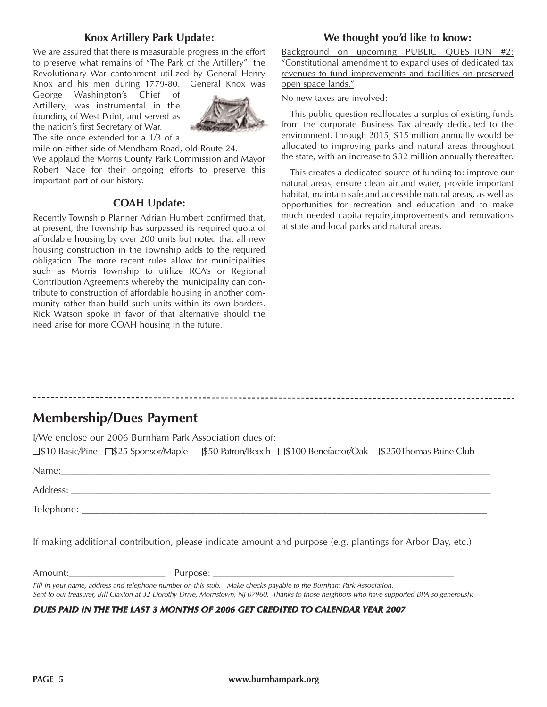### **Knox Artillery Park Update:**

We are assured that there is measurable progress in the effort to preserve what remains of "The Park of the Artillery": the Revolutionary War cantonment utilized by General Henry Knox and his men during 1779-80. General Knox was

George Washington's Chief of Artillery, was instrumental in the founding of West Point, and served as the nation's first Secretary of War. The site once extended for a 1/3 of a



mile on either side of Mendham Road, old Route 24.

We applaud the Morris County Park Commission and Mayor Robert Nace for their ongoing efforts to preserve this important part of our history.

#### **COAH Update:**

Recently Township Planner Adrian Humbert confirmed that, at present, the Township has surpassed its required quota of affordable housing by over 200 units but noted that all new housing construction in the Township adds to the required obligation. The more recent rules allow for municipalities such as Morris Township to utilize RCA's or Regional Contribution Agreements whereby the municipality can contribute to construction of affordable housing in another community rather than build such units within its own borders. Rick Watson spoke in favor of that alternative should the need arise for more COAH housing in the future.

### **We thought you'd like to know:**

Background on upcoming PUBLIC QUESTION #2: "Constitutional amendment to expand uses of dedicated tax revenues to fund improvements and facilities on preserved open space lands."

No new taxes are involved:

This public question reallocates a surplus of existing funds from the corporate Business Tax already dedicated to the environment. Through 2015, \$15 million annually would be allocated to improving parks and natural areas throughout the state, with an increase to \$32 million annually thereafter.

This creates a dedicated source of funding to: improve our natural areas, ensure clean air and water, provide important habitat, maintain safe and accessible natural areas, as well as opportunities for recreation and education and to make much needed capita repairs,improvements and renovations at state and local parks and natural areas.

## **Membership/Dues Payment**

I/We enclose our 2006 Burnham Park Association dues of: □\$10 Basic/Pine □\$25 Sponsor/Maple □\$50 Patron/Beech □\$100 Benefactor/Oak □\$250Thomas Paine Club Name:

| $\cdots$   |  |  |  |
|------------|--|--|--|
| Address:   |  |  |  |
| Telephone: |  |  |  |

If making additional contribution, please indicate amount and purpose (e.g. plantings for Arbor Day, etc.)

Amount: example and a purpose:  $P$ urpose:  $\overline{Q}$ 

*Fill in your name, address and telephone number on this stub. Make checks payable to the Burnham Park Association. Sent to our treasurer, Bill Claxton at 32 Dorothy Drive, Morristown, NJ 07960. Thanks to those neighbors who have supported BPA so generously.*

#### *DUES PAID IN THE THE LAST 3 MONTHS OF 2006 GET CREDITED TO CALENDAR YEAR 2007*